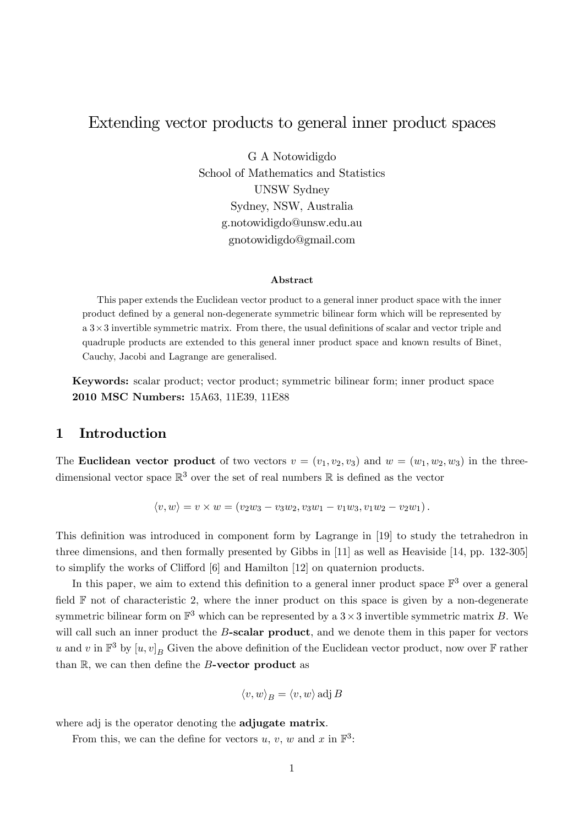# Extending vector products to general inner product spaces

G A Notowidigdo School of Mathematics and Statistics UNSW Sydney Sydney, NSW, Australia g.notowidigdo@unsw.edu.au gnotowidigdo@gmail.com

#### Abstract

This paper extends the Euclidean vector product to a general inner product space with the inner product deÖned by a general non-degenerate symmetric bilinear form which will be represented by  $a \cdot 3 \times 3$  invertible symmetric matrix. From there, the usual definitions of scalar and vector triple and quadruple products are extended to this general inner product space and known results of Binet, Cauchy, Jacobi and Lagrange are generalised.

Keywords: scalar product; vector product; symmetric bilinear form; inner product space 2010 MSC Numbers: 15A63, 11E39, 11E88

# 1 Introduction

The **Euclidean vector product** of two vectors  $v = (v_1, v_2, v_3)$  and  $w = (w_1, w_2, w_3)$  in the threedimensional vector space  $\mathbb{R}^3$  over the set of real numbers  $\mathbb R$  is defined as the vector

$$
\langle v, w \rangle = v \times w = (v_2 w_3 - v_3 w_2, v_3 w_1 - v_1 w_3, v_1 w_2 - v_2 w_1).
$$

This definition was introduced in component form by Lagrange in [19] to study the tetrahedron in three dimensions, and then formally presented by Gibbs in [11] as well as Heaviside [14, pp. 132-305] to simplify the works of Clifford  $[6]$  and Hamilton  $[12]$  on quaternion products.

In this paper, we aim to extend this definition to a general inner product space  $\mathbb{F}^3$  over a general field  $\mathbb F$  not of characteristic 2, where the inner product on this space is given by a non-degenerate symmetric bilinear form on  $\mathbb{F}^3$  which can be represented by a  $3 \times 3$  invertible symmetric matrix B. We will call such an inner product the  $B$ -scalar product, and we denote them in this paper for vectors u and v in  $\mathbb{F}^3$  by  $[u, v]_B$  Given the above definition of the Euclidean vector product, now over  $\mathbb{F}$  rather than  $\mathbb{R}$ , we can then define the  $B$ -vector product as

$$
\langle v, w \rangle_B = \langle v, w \rangle \operatorname{adj} B
$$

where adj is the operator denoting the **adjugate matrix**.

From this, we can the define for vectors  $u, v, w$  and  $x$  in  $\mathbb{F}^3$ :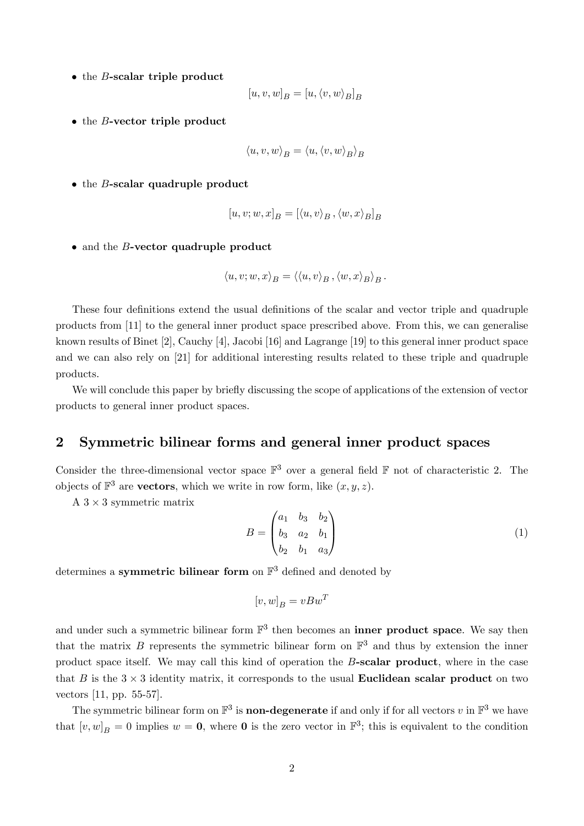$\bullet$  the *B*-scalar triple product

$$
\left[u,v,w\right]_B=\left[u,\left_B\right]_B
$$

 $\bullet$  the *B*-vector triple product

$$
\langle u, v, w \rangle_B = \langle u, \langle v, w \rangle_B \rangle_B
$$

 $\bullet$  the *B*-scalar quadruple product

$$
[u, v; w, x]_B = [\langle u, v \rangle_B, \langle w, x \rangle_B]_B
$$

 $\bullet$  and the *B*-vector quadruple product

$$
\langle u, v; w, x \rangle_B = \langle \langle u, v \rangle_B, \langle w, x \rangle_B \rangle_B.
$$

These four definitions extend the usual definitions of the scalar and vector triple and quadruple products from [11] to the general inner product space prescribed above. From this, we can generalise known results of Binet [2], Cauchy [4], Jacobi [16] and Lagrange [19] to this general inner product space and we can also rely on [21] for additional interesting results related to these triple and quadruple products.

We will conclude this paper by briefly discussing the scope of applications of the extension of vector products to general inner product spaces.

### 2 Symmetric bilinear forms and general inner product spaces

Consider the three-dimensional vector space  $\mathbb{F}^3$  over a general field  $\mathbb F$  not of characteristic 2. The objects of  $\mathbb{F}^3$  are **vectors**, which we write in row form, like  $(x, y, z)$ .

 $A$  3  $\times$  3 symmetric matrix

$$
B = \begin{pmatrix} a_1 & b_3 & b_2 \\ b_3 & a_2 & b_1 \\ b_2 & b_1 & a_3 \end{pmatrix}
$$
 (1)

determines a symmetric bilinear form on  $\mathbb{F}^3$  defined and denoted by

$$
[v, w]_B = vBw^T
$$

and under such a symmetric bilinear form  $\mathbb{F}^3$  then becomes an **inner product space**. We say then that the matrix B represents the symmetric bilinear form on  $\mathbb{F}^3$  and thus by extension the inner product space itself. We may call this kind of operation the B-scalar product, where in the case that B is the  $3 \times 3$  identity matrix, it corresponds to the usual **Euclidean scalar product** on two vectors [11, pp. 55-57].

The symmetric bilinear form on  $\mathbb{F}^3$  is **non-degenerate** if and only if for all vectors  $v$  in  $\mathbb{F}^3$  we have that  $[v, w]_B = 0$  implies  $w = 0$ , where 0 is the zero vector in  $\mathbb{F}^3$ ; this is equivalent to the condition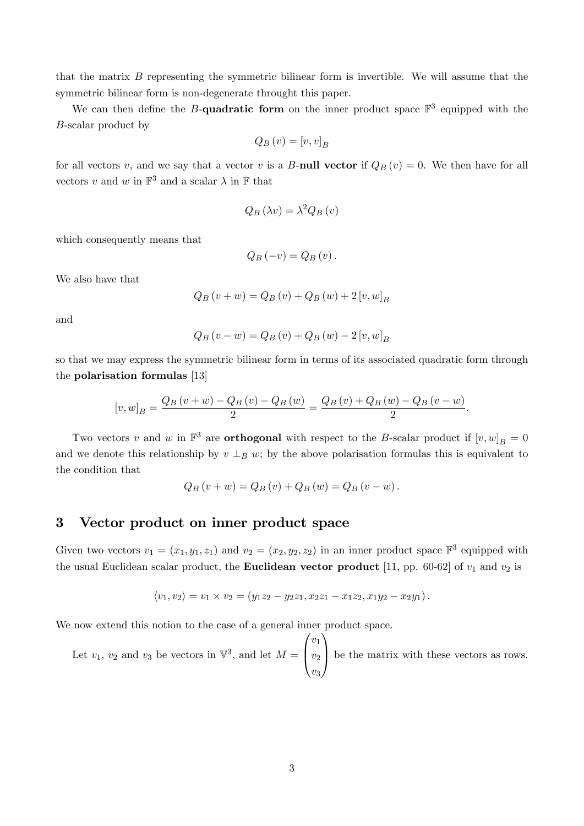that the matrix  $B$  representing the symmetric bilinear form is invertible. We will assume that the symmetric bilinear form is non-degenerate throught this paper.

We can then define the B-quadratic form on the inner product space  $\mathbb{F}^3$  equipped with the B-scalar product by

$$
Q_B\left(v\right) = [v, v]_B
$$

for all vectors v, and we say that a vector v is a B-null vector if  $Q_B(v) = 0$ . We then have for all vectors v and w in  $\mathbb{F}^3$  and a scalar  $\lambda$  in  $\mathbb F$  that

$$
Q_B(\lambda v) = \lambda^2 Q_B(v)
$$

which consequently means that

$$
Q_B(-v) = Q_B(v).
$$

We also have that

$$
Q_{B}(v+w) = Q_{B}(v) + Q_{B}(w) + 2[v, w]_{B}
$$

and

$$
Q_B(v - w) = Q_B(v) + Q_B(w) - 2[v, w]_B
$$

so that we may express the symmetric bilinear form in terms of its associated quadratic form through the polarisation formulas [13]

$$
[v, w]_B = \frac{Q_B(v + w) - Q_B(v) - Q_B(w)}{2} = \frac{Q_B(v) + Q_B(w) - Q_B(v - w)}{2}.
$$

Two vectors v and w in  $\mathbb{F}^3$  are **orthogonal** with respect to the B-scalar product if  $[v, w]_B = 0$ and we denote this relationship by  $v \perp_B w$ ; by the above polarisation formulas this is equivalent to the condition that

$$
Q_B(v + w) = Q_B(v) + Q_B(w) = Q_B(v - w).
$$

### 3 Vector product on inner product space

Given two vectors  $v_1 = (x_1, y_1, z_1)$  and  $v_2 = (x_2, y_2, z_2)$  in an inner product space  $\mathbb{F}^3$  equipped with the usual Euclidean scalar product, the **Euclidean vector product** [11, pp. 60-62] of  $v_1$  and  $v_2$  is

$$
\langle v_1, v_2 \rangle = v_1 \times v_2 = (y_1 z_2 - y_2 z_1, x_2 z_1 - x_1 z_2, x_1 y_2 - x_2 y_1).
$$

We now extend this notion to the case of a general inner product space.

Let  $v_1, v_2$  and  $v_3$  be vectors in  $\mathbb{V}^3$ , and let  $M =$  $\sqrt{ }$  $\overline{ }$  $v_1$  $v_2$  $v_3$ 1 be the matrix with these vectors as rows.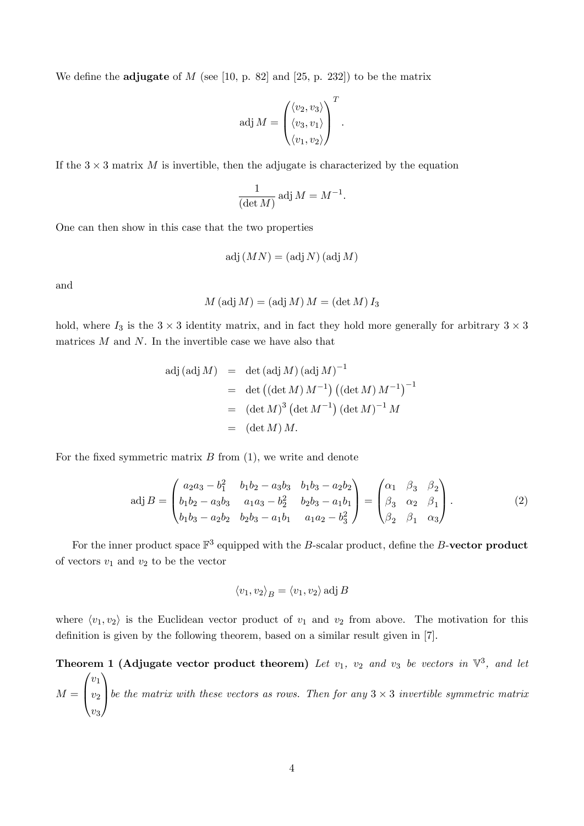We define the **adjugate** of M (see [10, p. 82] and [25, p. 232]) to be the matrix

$$
adj M = \begin{pmatrix} \langle v_2, v_3 \rangle \\ \langle v_3, v_1 \rangle \\ \langle v_1, v_2 \rangle \end{pmatrix}^T.
$$

If the  $3 \times 3$  matrix M is invertible, then the adjugate is characterized by the equation

$$
\frac{1}{(\det M)} \operatorname{adj} M = M^{-1}.
$$

One can then show in this case that the two properties

$$
\text{adj}\left( MN\right) =\left( \text{adj}\,N\right) \left( \text{adj}\,M\right)
$$

and

$$
M\left(\textrm{adj}\,M\right)=\left(\textrm{adj}\,M\right)M=\left(\textrm{det}\,M\right)I_3
$$

hold, where  $I_3$  is the  $3 \times 3$  identity matrix, and in fact they hold more generally for arbitrary  $3 \times 3$ matrices  $M$  and  $N$ . In the invertible case we have also that

$$
adj (adj M) = det (adj M) (adj M)^{-1}
$$
  
= det ((det M) M<sup>-1</sup>) ((det M) M<sup>-1</sup>)<sup>-1</sup>  
= (det M)<sup>3</sup> (det M<sup>-1</sup>) (det M)<sup>-1</sup>M  
= (det M) M.

For the fixed symmetric matrix  $B$  from  $(1)$ , we write and denote

$$
adj B = \begin{pmatrix} a_2a_3 - b_1^2 & b_1b_2 - a_3b_3 & b_1b_3 - a_2b_2 \ b_1b_2 - a_3b_3 & a_1a_3 - b_2^2 & b_2b_3 - a_1b_1 \ b_1b_3 - a_2b_2 & b_2b_3 - a_1b_1 & a_1a_2 - b_3^2 \end{pmatrix} = \begin{pmatrix} \alpha_1 & \beta_3 & \beta_2 \ \beta_3 & \alpha_2 & \beta_1 \ \beta_2 & \beta_1 & \alpha_3 \end{pmatrix}.
$$
 (2)

For the inner product space  $\mathbb{F}^3$  equipped with the B-scalar product, define the B-vector product of vectors  $v_1$  and  $v_2$  to be the vector

$$
\langle v_1, v_2 \rangle_B = \langle v_1, v_2 \rangle \text{ adj } B
$$

where  $\langle v_1, v_2 \rangle$  is the Euclidean vector product of  $v_1$  and  $v_2$  from above. The motivation for this definition is given by the following theorem, based on a similar result given in [7].

Theorem 1 (Adjugate vector product theorem) Let  $v_1$ ,  $v_2$  and  $v_3$  be vectors in  $\mathbb{V}^3$ , and let  $M =$  $\sqrt{ }$  $\overline{ }$  $v_1$  $v_2$  $v_3$ 1 be the matrix with these vectors as rows. Then for any  $3 \times 3$  invertible symmetric matrix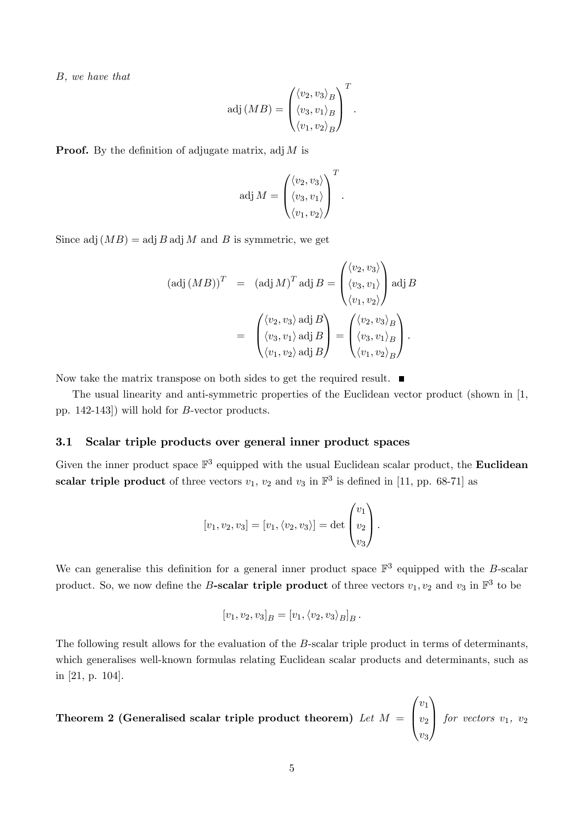B, we have that

$$
adj(MB) = \begin{pmatrix} \langle v_2, v_3 \rangle_B \\ \langle v_3, v_1 \rangle_B \\ \langle v_1, v_2 \rangle_B \end{pmatrix}^T.
$$

**Proof.** By the definition of adjugate matrix, adj  $M$  is

$$
adj M = \begin{pmatrix} \langle v_2, v_3 \rangle \\ \langle v_3, v_1 \rangle \\ \langle v_1, v_2 \rangle \end{pmatrix}^T.
$$

Since adj  $(MB) = \text{adj } B$  adj M and B is symmetric, we get

$$
(\text{adj}(MB))^T = (\text{adj} M)^T \text{adj} B = \begin{pmatrix} \langle v_2, v_3 \rangle \\ \langle v_3, v_1 \rangle \\ \langle v_1, v_2 \rangle \end{pmatrix} \text{adj} B
$$

$$
= \begin{pmatrix} \langle v_2, v_3 \rangle \text{ adj } B \\ \langle v_3, v_1 \rangle \text{ adj } B \\ \langle v_3, v_1 \rangle \text{ adj } B \\ \langle v_1, v_2 \rangle \text{ adj } B \end{pmatrix} = \begin{pmatrix} \langle v_2, v_3 \rangle_B \\ \langle v_3, v_1 \rangle_B \\ \langle v_1, v_2 \rangle_B \end{pmatrix}.
$$

Now take the matrix transpose on both sides to get the required result.  $\blacksquare$ 

The usual linearity and anti-symmetric properties of the Euclidean vector product (shown in [1, pp. 142-143]) will hold for B-vector products.

#### 3.1 Scalar triple products over general inner product spaces

Given the inner product space  $\mathbb{F}^3$  equipped with the usual Euclidean scalar product, the **Euclidean** scalar triple product of three vectors  $v_1$ ,  $v_2$  and  $v_3$  in  $\mathbb{F}^3$  is defined in [11, pp. 68-71] as

$$
[v_1, v_2, v_3] = [v_1, \langle v_2, v_3 \rangle] = \det \begin{pmatrix} v_1 \\ v_2 \\ v_3 \end{pmatrix}.
$$

We can generalise this definition for a general inner product space  $\mathbb{F}^3$  equipped with the B-scalar product. So, we now define the B-scalar triple product of three vectors  $v_1, v_2$  and  $v_3$  in  $\mathbb{F}^3$  to be

$$
[v_1, v_2, v_3]_B = [v_1, \langle v_2, v_3 \rangle_B]_B.
$$

The following result allows for the evaluation of the B-scalar triple product in terms of determinants, which generalises well-known formulas relating Euclidean scalar products and determinants, such as in [21, p. 104].

**Theorem 2 (Generalised scalar triple product theorem)** *Let* 
$$
M = \begin{pmatrix} v_1 \\ v_2 \\ v_3 \end{pmatrix}
$$
 *for vectors*  $v_1$ ,  $v_2$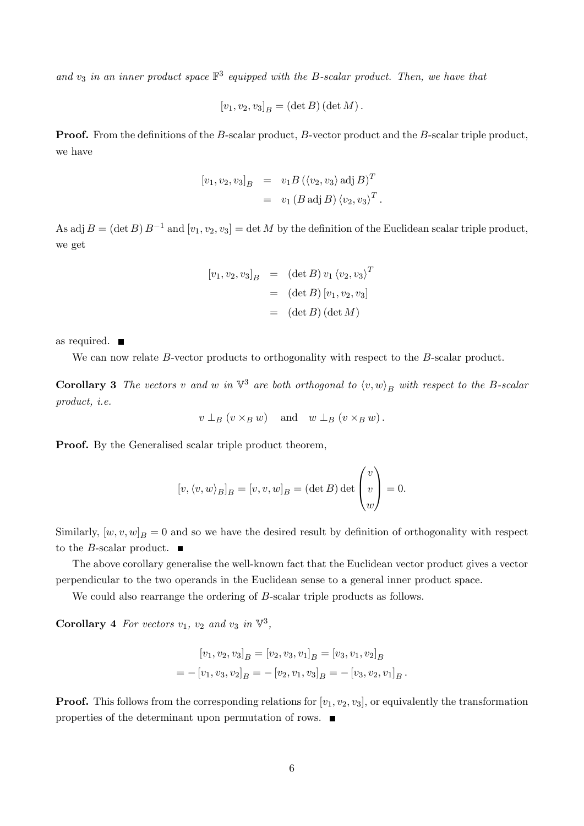and  $v_3$  in an inner product space  $\mathbb{F}^3$  equipped with the B-scalar product. Then, we have that

$$
[v_1, v_2, v_3]_B = (\det B)(\det M).
$$

**Proof.** From the definitions of the B-scalar product, B-vector product and the B-scalar triple product, we have

$$
[v_1, v_2, v_3]_B = v_1 B (\langle v_2, v_3 \rangle \text{ adj } B)^T
$$
  
= 
$$
v_1 (B \text{ adj } B) \langle v_2, v_3 \rangle^T.
$$

As adj  $B = (\det B) B^{-1}$  and  $[v_1, v_2, v_3] = \det M$  by the definition of the Euclidean scalar triple product, we get

$$
[v_1, v_2, v_3]_B = (\det B) v_1 \langle v_2, v_3 \rangle^T
$$
  
= (\det B) [v\_1, v\_2, v\_3]  
= (\det B) (\det M)

as required.

We can now relate B-vector products to orthogonality with respect to the B-scalar product.

**Corollary 3** The vectors v and w in  $\mathbb{V}^3$  are both orthogonal to  $\langle v, w \rangle_B$  with respect to the B-scalar product, i.e.

$$
v \perp_B (v \times_B w)
$$
 and  $w \perp_B (v \times_B w)$ .

Proof. By the Generalised scalar triple product theorem,

$$
[v, \langle v, w \rangle_B]_B = [v, v, w]_B = (\det B) \det \begin{pmatrix} v \\ v \\ w \end{pmatrix} = 0.
$$

Similarly,  $[w, v, w]_B = 0$  and so we have the desired result by definition of orthogonality with respect to the *B*-scalar product.  $\blacksquare$ 

The above corollary generalise the well-known fact that the Euclidean vector product gives a vector perpendicular to the two operands in the Euclidean sense to a general inner product space.

We could also rearrange the ordering of B-scalar triple products as follows.

**Corollary 4** For vectors  $v_1$ ,  $v_2$  and  $v_3$  in  $\nabla^3$ ,

$$
[v_1, v_2, v_3]_B = [v_2, v_3, v_1]_B = [v_3, v_1, v_2]_B
$$
  
= 
$$
-[v_1, v_3, v_2]_B = -[v_2, v_1, v_3]_B = -[v_3, v_2, v_1]_B.
$$

**Proof.** This follows from the corresponding relations for  $[v_1, v_2, v_3]$ , or equivalently the transformation properties of the determinant upon permutation of rows.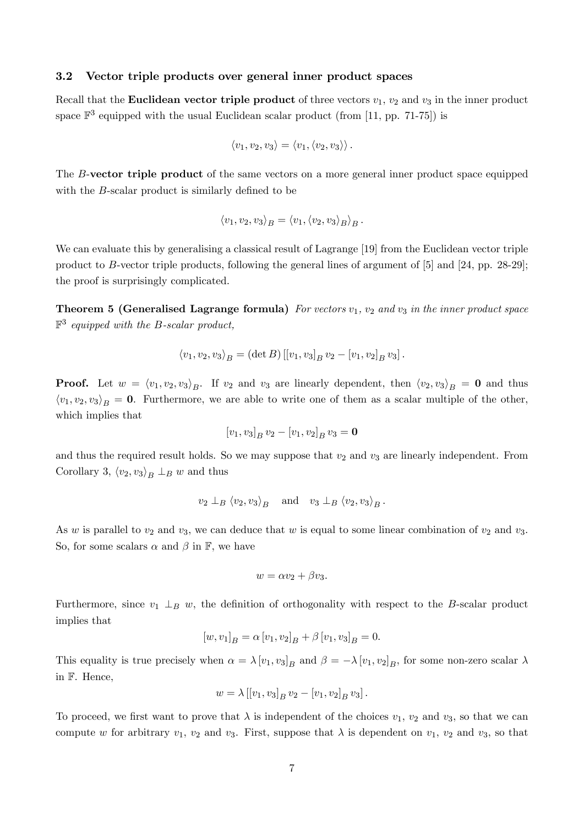#### 3.2 Vector triple products over general inner product spaces

Recall that the **Euclidean vector triple product** of three vectors  $v_1$ ,  $v_2$  and  $v_3$  in the inner product space  $\mathbb{F}^3$  equipped with the usual Euclidean scalar product (from [11, pp. 71-75]) is

$$
\langle v_1, v_2, v_3 \rangle = \langle v_1, \langle v_2, v_3 \rangle \rangle.
$$

The B-vector triple product of the same vectors on a more general inner product space equipped with the  $B$ -scalar product is similarly defined to be

$$
\langle v_1, v_2, v_3 \rangle_B = \langle v_1, \langle v_2, v_3 \rangle_B \rangle_B.
$$

We can evaluate this by generalising a classical result of Lagrange [19] from the Euclidean vector triple product to B-vector triple products, following the general lines of argument of [5] and [24, pp. 28-29]; the proof is surprisingly complicated.

**Theorem 5 (Generalised Lagrange formula)** For vectors  $v_1$ ,  $v_2$  and  $v_3$  in the inner product space  $\mathbb{F}^3$  equipped with the B-scalar product,

$$
\langle v_1, v_2, v_3 \rangle_B = (\det B) [[v_1, v_3]_B v_2 - [v_1, v_2]_B v_3].
$$

**Proof.** Let  $w = \langle v_1, v_2, v_3 \rangle_B$ . If  $v_2$  and  $v_3$  are linearly dependent, then  $\langle v_2, v_3 \rangle_B = \mathbf{0}$  and thus  $\langle v_1, v_2, v_3 \rangle_B = 0$ . Furthermore, we are able to write one of them as a scalar multiple of the other, which implies that

$$
[v_1, v_3]_B v_2 - [v_1, v_2]_B v_3 = \mathbf{0}
$$

and thus the required result holds. So we may suppose that  $v_2$  and  $v_3$  are linearly independent. From Corollary 3,  $\langle v_2, v_3 \rangle_B \perp_B w$  and thus

$$
v_2 \perp_B \langle v_2, v_3 \rangle_B
$$
 and  $v_3 \perp_B \langle v_2, v_3 \rangle_B$ .

As w is parallel to  $v_2$  and  $v_3$ , we can deduce that w is equal to some linear combination of  $v_2$  and  $v_3$ . So, for some scalars  $\alpha$  and  $\beta$  in  $\mathbb{F}$ , we have

$$
w = \alpha v_2 + \beta v_3.
$$

Furthermore, since  $v_1 \perp_B w$ , the definition of orthogonality with respect to the B-scalar product implies that

$$
[w, v_1]_B = \alpha [v_1, v_2]_B + \beta [v_1, v_3]_B = 0.
$$

This equality is true precisely when  $\alpha = \lambda [v_1, v_3]_B$  and  $\beta = -\lambda [v_1, v_2]_B$ , for some non-zero scalar  $\lambda$ in F. Hence,

$$
w = \lambda [[v_1, v_3]_B v_2 - [v_1, v_2]_B v_3].
$$

To proceed, we first want to prove that  $\lambda$  is independent of the choices  $v_1$ ,  $v_2$  and  $v_3$ , so that we can compute w for arbitrary  $v_1$ ,  $v_2$  and  $v_3$ . First, suppose that  $\lambda$  is dependent on  $v_1$ ,  $v_2$  and  $v_3$ , so that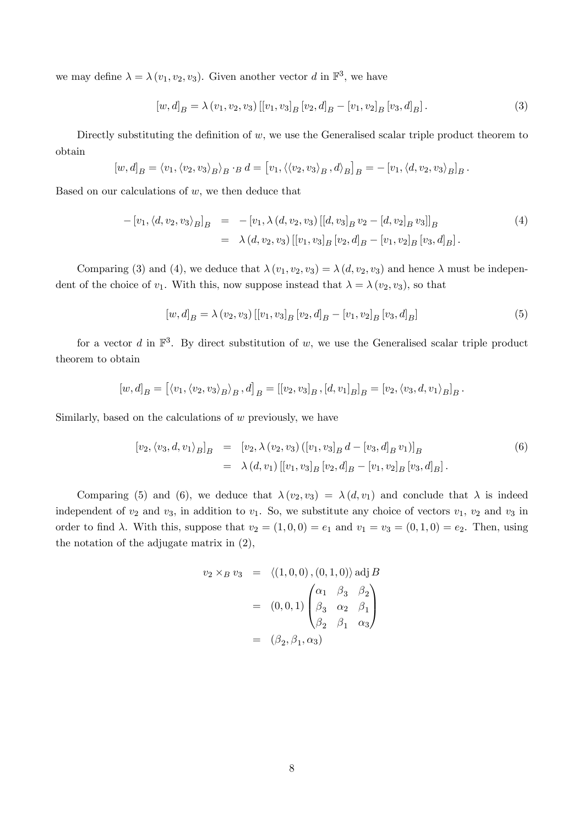we may define  $\lambda = \lambda (v_1, v_2, v_3)$ . Given another vector d in  $\mathbb{F}^3$ , we have

$$
[w,d]_B = \lambda (v_1, v_2, v_3) [[v_1, v_3]_B [v_2, d]_B - [v_1, v_2]_B [v_3, d]_B].
$$
\n(3)

Directly substituting the definition of  $w$ , we use the Generalised scalar triple product theorem to obtain

$$
[w,d]_B = \langle v_1, \langle v_2, v_3 \rangle_B \rangle_B \cdot_B d = [v_1, \langle \langle v_2, v_3 \rangle_B, d \rangle_B]_B = -[v_1, \langle d, v_2, v_3 \rangle_B]_B.
$$

Based on our calculations of  $w$ , we then deduce that

$$
-[v_1, \langle d, v_2, v_3 \rangle_B]_B = -[v_1, \lambda (d, v_2, v_3) [[d, v_3]_B v_2 - [d, v_2]_B v_3]]_B
$$
  

$$
= \lambda (d, v_2, v_3) [[v_1, v_3]_B [v_2, d]_B - [v_1, v_2]_B [v_3, d]_B].
$$
<sup>(4)</sup>

Comparing (3) and (4), we deduce that  $\lambda(v_1, v_2, v_3) = \lambda(d, v_2, v_3)$  and hence  $\lambda$  must be independent of the choice of  $v_1$ . With this, now suppose instead that  $\lambda = \lambda (v_2, v_3)$ , so that

$$
[w,d]_B = \lambda (v_2, v_3) [[v_1, v_3]_B [v_2, d]_B - [v_1, v_2]_B [v_3, d]_B]
$$
\n
$$
(5)
$$

for a vector d in  $\mathbb{F}^3$ . By direct substitution of w, we use the Generalised scalar triple product theorem to obtain

$$
[w,d]_B = [ \langle v_1, \langle v_2, v_3 \rangle_B, d]_B = [[v_2, v_3]_B, [d, v_1]_B]_B = [v_2, \langle v_3, d, v_1 \rangle_B]_B.
$$

Similarly, based on the calculations of  $w$  previously, we have

$$
[v_2, \langle v_3, d, v_1 \rangle_B]_B = [v_2, \lambda(v_2, v_3) ([v_1, v_3]_B d - [v_3, d]_B v_1)]_B
$$
  

$$
= \lambda(d, v_1) [[v_1, v_3]_B [v_2, d]_B - [v_1, v_2]_B [v_3, d]_B].
$$
 (6)

Comparing (5) and (6), we deduce that  $\lambda(v_2, v_3) = \lambda(d, v_1)$  and conclude that  $\lambda$  is indeed independent of  $v_2$  and  $v_3$ , in addition to  $v_1$ . So, we substitute any choice of vectors  $v_1$ ,  $v_2$  and  $v_3$  in order to find  $\lambda$ . With this, suppose that  $v_2 = (1, 0, 0) = e_1$  and  $v_1 = v_3 = (0, 1, 0) = e_2$ . Then, using the notation of the adjugate matrix in (2),

$$
v_2 \times_B v_3 = \langle (1, 0, 0), (0, 1, 0) \rangle \text{ adj } B
$$
  
=  $(0, 0, 1)$ 
$$
\begin{pmatrix} \alpha_1 & \beta_3 & \beta_2 \\ \beta_3 & \alpha_2 & \beta_1 \\ \beta_2 & \beta_1 & \alpha_3 \end{pmatrix}
$$
  
=  $(\beta_2, \beta_1, \alpha_3)$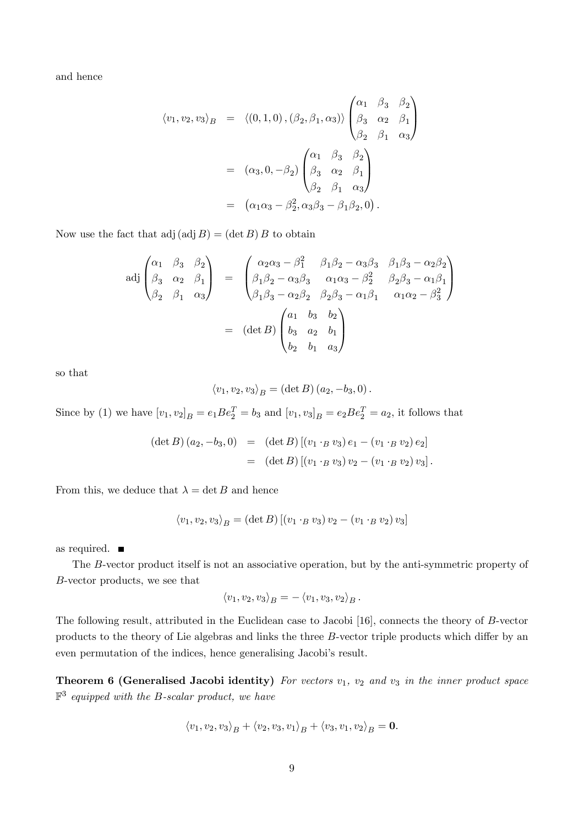and hence

$$
\langle v_1, v_2, v_3 \rangle_B = \langle (0, 1, 0), (\beta_2, \beta_1, \alpha_3) \rangle \begin{pmatrix} \alpha_1 & \beta_3 & \beta_2 \\ \beta_3 & \alpha_2 & \beta_1 \\ \beta_2 & \beta_1 & \alpha_3 \end{pmatrix}
$$
  
=  $(\alpha_3, 0, -\beta_2) \begin{pmatrix} \alpha_1 & \beta_3 & \beta_2 \\ \beta_3 & \alpha_2 & \beta_1 \\ \beta_2 & \beta_1 & \alpha_3 \end{pmatrix}$   
=  $(\alpha_1 \alpha_3 - \beta_2^2, \alpha_3 \beta_3 - \beta_1 \beta_2, 0).$ 

Now use the fact that  $\text{adj}(\text{adj }B) = (\text{det }B) B$  to obtain

$$
\text{adj}\begin{pmatrix}\n\alpha_1 & \beta_3 & \beta_2 \\
\beta_3 & \alpha_2 & \beta_1 \\
\beta_2 & \beta_1 & \alpha_3\n\end{pmatrix} = \begin{pmatrix}\n\alpha_2 \alpha_3 - \beta_1^2 & \beta_1 \beta_2 - \alpha_3 \beta_3 & \beta_1 \beta_3 - \alpha_2 \beta_2 \\
\beta_1 \beta_2 - \alpha_3 \beta_3 & \alpha_1 \alpha_3 - \beta_2^2 & \beta_2 \beta_3 - \alpha_1 \beta_1 \\
\beta_1 \beta_3 - \alpha_2 \beta_2 & \beta_2 \beta_3 - \alpha_1 \beta_1 & \alpha_1 \alpha_2 - \beta_3^2\n\end{pmatrix}
$$
\n
$$
= (\det B) \begin{pmatrix}\n\alpha_1 & b_3 & b_2 \\
b_3 & \alpha_2 & b_1 \\
b_2 & b_1 & \alpha_3\n\end{pmatrix}
$$

so that

$$
\langle v_1, v_2, v_3 \rangle_B = (\det B) (a_2, -b_3, 0).
$$

Since by (1) we have  $[v_1, v_2]_B = e_1 B e_2^T = b_3$  and  $[v_1, v_3]_B = e_2 B e_2^T = a_2$ , it follows that

$$
(\det B) (a_2, -b_3, 0) = (\det B) [(v_1 \cdot_B v_3) e_1 - (v_1 \cdot_B v_2) e_2]
$$
  
= (\det B) [(v\_1 \cdot\_B v\_3) v\_2 - (v\_1 \cdot\_B v\_2) v\_3].

From this, we deduce that  $\lambda = \det B$  and hence

$$
\langle v_1, v_2, v_3 \rangle_B = (\det B) [(v_1 \cdot_B v_3) v_2 - (v_1 \cdot_B v_2) v_3]
$$

as required.

The B-vector product itself is not an associative operation, but by the anti-symmetric property of B-vector products, we see that

$$
\langle v_1, v_2, v_3 \rangle_B = - \langle v_1, v_3, v_2 \rangle_B.
$$

The following result, attributed in the Euclidean case to Jacobi [16], connects the theory of B-vector products to the theory of Lie algebras and links the three  $B$ -vector triple products which differ by an even permutation of the indices, hence generalising Jacobi's result.

Theorem 6 (Generalised Jacobi identity) For vectors  $v_1$ ,  $v_2$  and  $v_3$  in the inner product space  $\mathbb{F}^3$  equipped with the B-scalar product, we have

$$
\langle v_1, v_2, v_3 \rangle_B + \langle v_2, v_3, v_1 \rangle_B + \langle v_3, v_1, v_2 \rangle_B = \mathbf{0}.
$$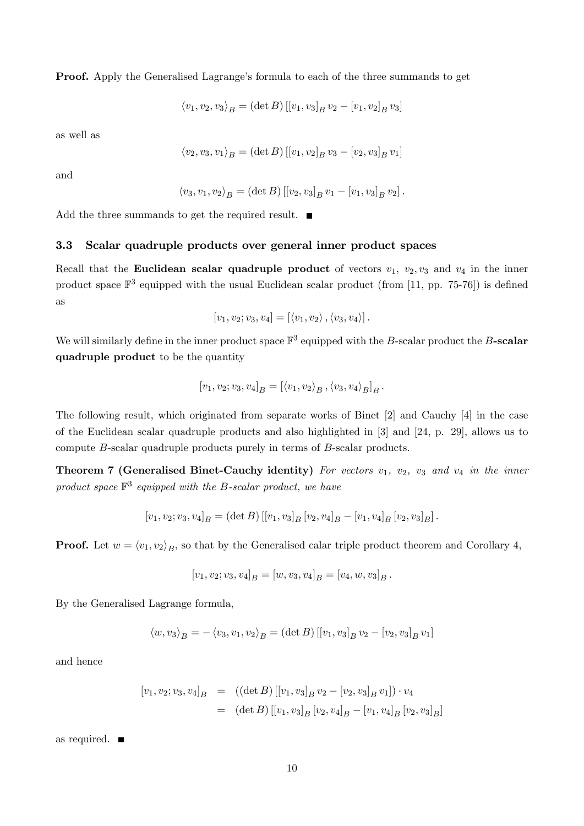**Proof.** Apply the Generalised Lagrange's formula to each of the three summands to get

$$
\langle v_1, v_2, v_3 \rangle_B = (\det B) [[v_1, v_3]_B v_2 - [v_1, v_2]_B v_3]
$$

as well as

$$
\langle v_2, v_3, v_1 \rangle_B = (\det B) [[v_1, v_2]_B v_3 - [v_2, v_3]_B v_1]
$$

and

$$
\langle v_3, v_1, v_2 \rangle_B = (\det B) [[v_2, v_3]_B v_1 - [v_1, v_3]_B v_2].
$$

Add the three summands to get the required result.  $\blacksquare$ 

#### 3.3 Scalar quadruple products over general inner product spaces

Recall that the Euclidean scalar quadruple product of vectors  $v_1$ ,  $v_2$ ,  $v_3$  and  $v_4$  in the inner product space  $\mathbb{F}^3$  equipped with the usual Euclidean scalar product (from [11, pp. 75-76]) is defined as

$$
[v_1, v_2; v_3, v_4] = [\langle v_1, v_2 \rangle, \langle v_3, v_4 \rangle].
$$

We will similarly define in the inner product space  $\mathbb{F}^3$  equipped with the B-scalar product the B-scalar quadruple product to be the quantity

$$
[v_1, v_2; v_3, v_4]_B = [\langle v_1, v_2 \rangle_B, \langle v_3, v_4 \rangle_B]_B.
$$

The following result, which originated from separate works of Binet [2] and Cauchy [4] in the case of the Euclidean scalar quadruple products and also highlighted in [3] and [24, p. 29], allows us to compute B-scalar quadruple products purely in terms of B-scalar products.

Theorem 7 (Generalised Binet-Cauchy identity) For vectors  $v_1$ ,  $v_2$ ,  $v_3$  and  $v_4$  in the inner product space  $\mathbb{F}^3$  equipped with the B-scalar product, we have

$$
[v_1, v_2; v_3, v_4]_B = (\det B) \left[ [v_1, v_3]_B [v_2, v_4]_B - [v_1, v_4]_B [v_2, v_3]_B \right].
$$

**Proof.** Let  $w = \langle v_1, v_2 \rangle_B$ , so that by the Generalised calar triple product theorem and Corollary 4,

$$
[v_1, v_2; v_3, v_4]_B = [w, v_3, v_4]_B = [v_4, w, v_3]_B.
$$

By the Generalised Lagrange formula,

$$
\langle w, v_3 \rangle_B = - \langle v_3, v_1, v_2 \rangle_B = (\det B) [[v_1, v_3]_B v_2 - [v_2, v_3]_B v_1]
$$

and hence

$$
[v_1, v_2; v_3, v_4]_B = ((\det B) [[v_1, v_3]_B v_2 - [v_2, v_3]_B v_1]) \cdot v_4
$$
  
= (\det B) [[v\_1, v\_3]\_B [v\_2, v\_4]\_B - [v\_1, v\_4]\_B [v\_2, v\_3]\_B]

as required.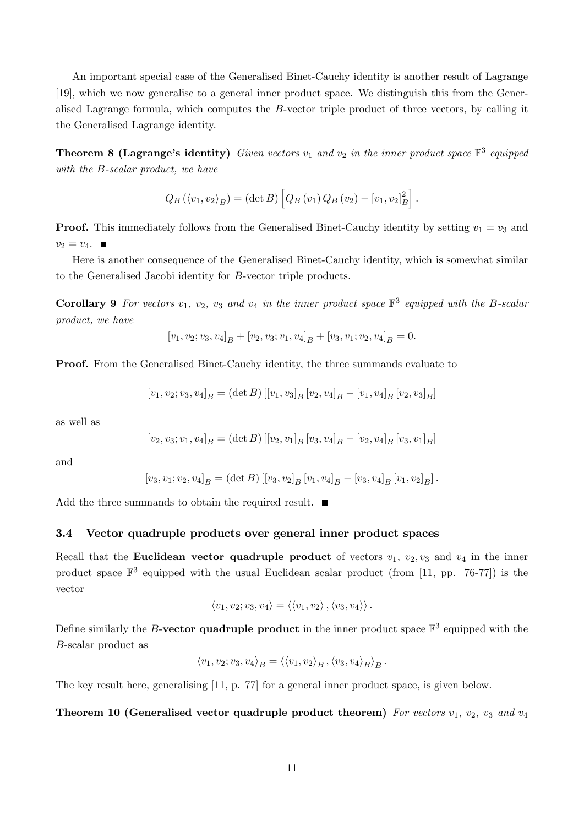An important special case of the Generalised Binet-Cauchy identity is another result of Lagrange [19], which we now generalise to a general inner product space. We distinguish this from the Generalised Lagrange formula, which computes the B-vector triple product of three vectors, by calling it the Generalised Lagrange identity.

**Theorem 8 (Lagrange's identity)** Given vectors  $v_1$  and  $v_2$  in the inner product space  $\mathbb{F}^3$  equipped with the B-scalar product, we have

$$
Q_B(\langle v_1, v_2 \rangle_B) = (\det B) \left[ Q_B(v_1) Q_B(v_2) - [v_1, v_2]_B^2 \right].
$$

**Proof.** This immediately follows from the Generalised Binet-Cauchy identity by setting  $v_1 = v_3$  and  $v_2 = v_4$ .

Here is another consequence of the Generalised Binet-Cauchy identity, which is somewhat similar to the Generalised Jacobi identity for B-vector triple products.

**Corollary 9** For vectors  $v_1$ ,  $v_2$ ,  $v_3$  and  $v_4$  in the inner product space  $\mathbb{F}^3$  equipped with the B-scalar product, we have

$$
[v_1, v_2; v_3, v_4]_B + [v_2, v_3; v_1, v_4]_B + [v_3, v_1; v_2, v_4]_B = 0.
$$

Proof. From the Generalised Binet-Cauchy identity, the three summands evaluate to

$$
[v_1, v_2; v_3, v_4]_B = (\det B) [[v_1, v_3]_B [v_2, v_4]_B - [v_1, v_4]_B [v_2, v_3]_B]
$$

as well as

$$
[v_2,v_3;v_1,v_4]_B=(\det B)\, [[v_2,v_1]_B\, [v_3,v_4]_B -[v_2,v_4]_B\, [v_3,v_1]_B]
$$

and

$$
[v_3, v_1; v_2, v_4]_B = (\det B) [[v_3, v_2]_B [v_1, v_4]_B - [v_3, v_4]_B [v_1, v_2]_B].
$$

Add the three summands to obtain the required result.  $\blacksquare$ 

#### 3.4 Vector quadruple products over general inner product spaces

Recall that the Euclidean vector quadruple product of vectors  $v_1$ ,  $v_2$ ,  $v_3$  and  $v_4$  in the inner product space  $\mathbb{F}^3$  equipped with the usual Euclidean scalar product (from [11, pp. 76-77]) is the vector

$$
\langle v_1, v_2; v_3, v_4 \rangle = \langle \langle v_1, v_2 \rangle, \langle v_3, v_4 \rangle \rangle.
$$

Define similarly the B-vector quadruple product in the inner product space  $\mathbb{F}^3$  equipped with the B-scalar product as

$$
\langle v_1, v_2; v_3, v_4 \rangle_B = \langle \langle v_1, v_2 \rangle_B, \langle v_3, v_4 \rangle_B \rangle_B.
$$

The key result here, generalising [11, p. 77] for a general inner product space, is given below.

#### Theorem 10 (Generalised vector quadruple product theorem) For vectors  $v_1$ ,  $v_2$ ,  $v_3$  and  $v_4$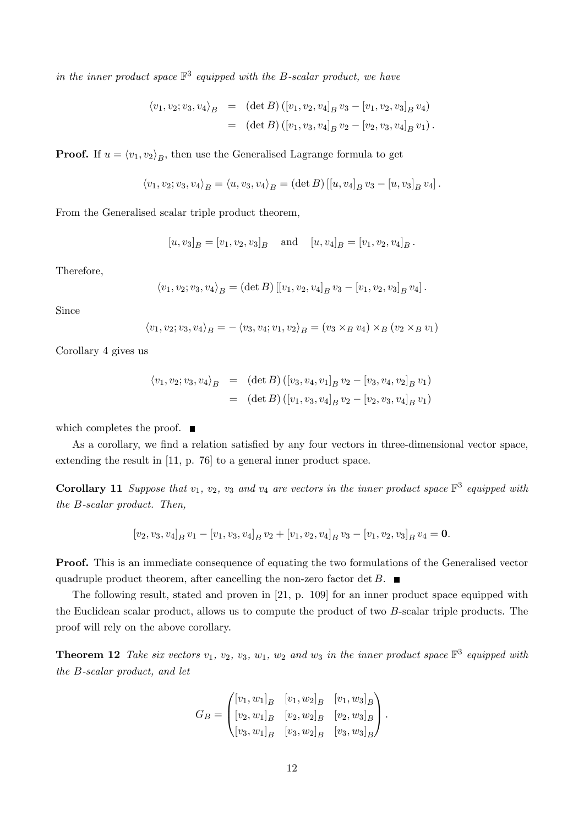in the inner product space  $\mathbb{F}^3$  equipped with the B-scalar product, we have

$$
\langle v_1, v_2; v_3, v_4 \rangle_B = (\det B) ([v_1, v_2, v_4]_B v_3 - [v_1, v_2, v_3]_B v_4)
$$
  
= (\det B) ([v\_1, v\_3, v\_4]\_B v\_2 - [v\_2, v\_3, v\_4]\_B v\_1).

**Proof.** If  $u = \langle v_1, v_2 \rangle_B$ , then use the Generalised Lagrange formula to get

$$
\langle v_1, v_2; v_3, v_4 \rangle_B = \langle u, v_3, v_4 \rangle_B = (\det B) [[u, v_4]_B v_3 - [u, v_3]_B v_4].
$$

From the Generalised scalar triple product theorem,

$$
[u, v_3]_B = [v_1, v_2, v_3]_B
$$
 and  $[u, v_4]_B = [v_1, v_2, v_4]_B$ .

Therefore,

$$
\langle v_1, v_2; v_3, v_4 \rangle_B = (\det B) [[v_1, v_2, v_4]_B v_3 - [v_1, v_2, v_3]_B v_4].
$$

Since

$$
\langle v_1, v_2; v_3, v_4 \rangle_B = -\langle v_3, v_4; v_1, v_2 \rangle_B = (v_3 \times_B v_4) \times_B (v_2 \times_B v_1)
$$

Corollary 4 gives us

$$
\langle v_1, v_2; v_3, v_4 \rangle_B = (\det B) ([v_3, v_4, v_1]_B v_2 - [v_3, v_4, v_2]_B v_1)
$$
  
= (\det B) ([v\_1, v\_3, v\_4]\_B v\_2 - [v\_2, v\_3, v\_4]\_B v\_1)

which completes the proof.  $\blacksquare$ 

As a corollary, we find a relation satisfied by any four vectors in three-dimensional vector space, extending the result in [11, p. 76] to a general inner product space.

**Corollary 11** Suppose that  $v_1$ ,  $v_2$ ,  $v_3$  and  $v_4$  are vectors in the inner product space  $\mathbb{F}^3$  equipped with the B-scalar product. Then,

$$
[v_2, v_3, v_4]_B v_1 - [v_1, v_3, v_4]_B v_2 + [v_1, v_2, v_4]_B v_3 - [v_1, v_2, v_3]_B v_4 = \mathbf{0}.
$$

Proof. This is an immediate consequence of equating the two formulations of the Generalised vector quadruple product theorem, after cancelling the non-zero factor det  $B$ .

The following result, stated and proven in [21, p. 109] for an inner product space equipped with the Euclidean scalar product, allows us to compute the product of two B-scalar triple products. The proof will rely on the above corollary.

**Theorem 12** Take six vectors  $v_1$ ,  $v_2$ ,  $v_3$ ,  $w_1$ ,  $w_2$  and  $w_3$  in the inner product space  $\mathbb{F}^3$  equipped with the B-scalar product, and let

$$
G_B = \begin{pmatrix} [v_1, w_1]_B & [v_1, w_2]_B & [v_1, w_3]_B \\ [v_2, w_1]_B & [v_2, w_2]_B & [v_2, w_3]_B \\ [v_3, w_1]_B & [v_3, w_2]_B & [v_3, w_3]_B \end{pmatrix}.
$$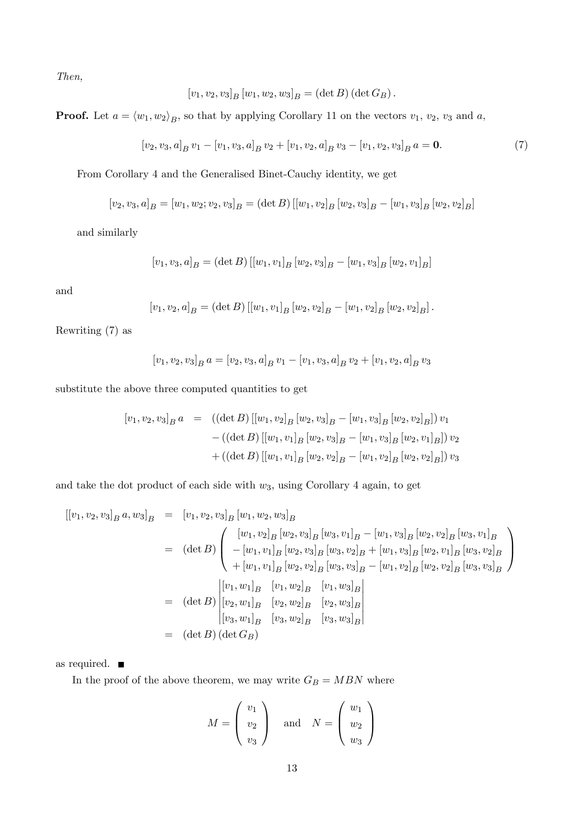Then,

$$
[v_1, v_2, v_3]_B [w_1, w_2, w_3]_B = (\det B) (\det G_B).
$$

**Proof.** Let  $a = \langle w_1, w_2 \rangle_B$ , so that by applying Corollary 11 on the vectors  $v_1, v_2, v_3$  and a,

$$
[v_2, v_3, a]_B v_1 - [v_1, v_3, a]_B v_2 + [v_1, v_2, a]_B v_3 - [v_1, v_2, v_3]_B a = \mathbf{0}.
$$
 (7)

From Corollary 4 and the Generalised Binet-Cauchy identity, we get

$$
[v_2, v_3, a]_B = [w_1, w_2; v_2, v_3]_B = (\det B) \left[ [w_1, v_2]_B [w_2, v_3]_B - [w_1, v_3]_B [w_2, v_2]_B \right]
$$

and similarly

$$
[v_1, v_3, a]_B = (\det B) \left[ [w_1, v_1]_B [w_2, v_3]_B - [w_1, v_3]_B [w_2, v_1]_B \right]
$$

and

$$
[v_1, v_2, a]_B = (\det B) \left[ [w_1, v_1]_B [w_2, v_2]_B - [w_1, v_2]_B [w_2, v_2]_B \right].
$$

Rewriting (7) as

$$
[v_1, v_2, v_3]_B a = [v_2, v_3, a]_B v_1 - [v_1, v_3, a]_B v_2 + [v_1, v_2, a]_B v_3
$$

substitute the above three computed quantities to get

$$
[v_1, v_2, v_3]_B a = ((\det B) [[w_1, v_2]_B [w_2, v_3]_B - [w_1, v_3]_B [w_2, v_2]_B]) v_1
$$
  
-(
$$
-( (\det B) [[w_1, v_1]_B [w_2, v_3]_B - [w_1, v_3]_B [w_2, v_1]_B]) v_2
$$
  
+(
$$
((\det B) [[w_1, v_1]_B [w_2, v_2]_B - [w_1, v_2]_B [w_2, v_2]_B]) v_3
$$

and take the dot product of each side with  $w_3$ , using Corollary 4 again, to get

$$
[[v_1, v_2, v_3]_B a, w_3]_B = [v_1, v_2, v_3]_B [w_1, w_2, w_3]_B
$$
  
\n
$$
= (\det B) \begin{pmatrix} [w_1, v_2]_B [w_2, v_3]_B [w_3, v_1]_B - [w_1, v_3]_B [w_2, v_2]_B [w_3, v_1]_B \\ -[w_1, v_1]_B [w_2, v_3]_B [w_3, v_2]_B + [w_1, v_3]_B [w_2, v_1]_B [w_3, v_2]_B \\ +[w_1, v_1]_B [w_2, v_2]_B [w_3, v_3]_B - [w_1, v_2]_B [w_2, v_2]_B [w_3, v_3]_B \end{pmatrix}
$$
  
\n
$$
= (\det B) \begin{vmatrix} [v_1, w_1]_B & [v_1, w_2]_B & [v_1, w_3]_B \\ [v_2, w_1]_B & [v_2, w_2]_B & [v_2, w_3]_B \\ [v_3, w_1]_B & [v_3, w_2]_B & [v_3, w_3]_B \end{vmatrix}
$$
  
\n
$$
= (\det B) (\det G_B)
$$

as required.

In the proof of the above theorem, we may write  $G_B=MBN$  where

$$
M = \begin{pmatrix} v_1 \\ v_2 \\ v_3 \end{pmatrix} \quad \text{and} \quad N = \begin{pmatrix} w_1 \\ w_2 \\ w_3 \end{pmatrix}
$$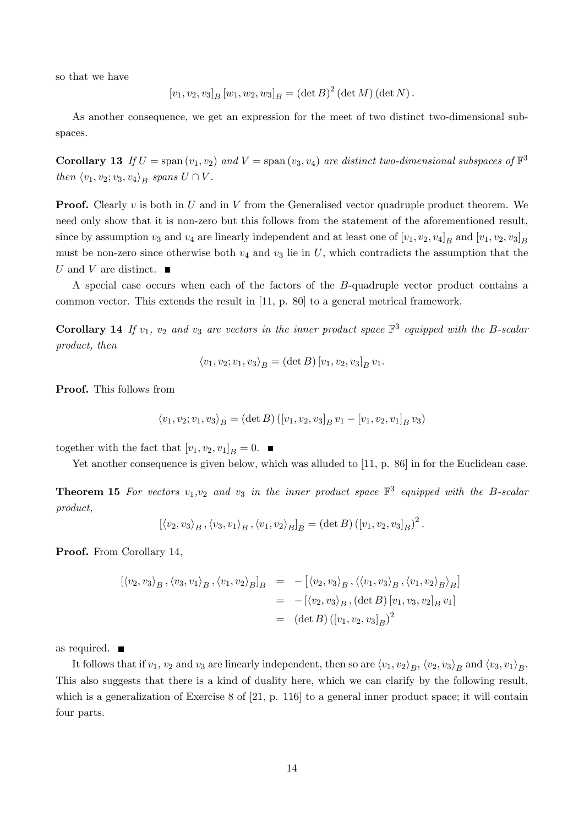so that we have

$$
[v_1, v_2, v_3]_B [w_1, w_2, w_3]_B = (\det B)^2 (\det M) (\det N).
$$

As another consequence, we get an expression for the meet of two distinct two-dimensional subspaces.

**Corollary 13** If  $U = \text{span}(v_1, v_2)$  and  $V = \text{span}(v_3, v_4)$  are distinct two-dimensional subspaces of  $\mathbb{F}^3$ then  $\langle v_1, v_2; v_3, v_4 \rangle_B$  spans  $U \cap V$ .

**Proof.** Clearly  $v$  is both in  $U$  and in  $V$  from the Generalised vector quadruple product theorem. We need only show that it is non-zero but this follows from the statement of the aforementioned result, since by assumption  $v_3$  and  $v_4$  are linearly independent and at least one of  $[v_1, v_2, v_4]_B$  and  $[v_1, v_2, v_3]_B$ must be non-zero since otherwise both  $v_4$  and  $v_3$  lie in U, which contradicts the assumption that the U and V are distinct.

A special case occurs when each of the factors of the B-quadruple vector product contains a common vector. This extends the result in [11, p. 80] to a general metrical framework.

**Corollary 14** If  $v_1$ ,  $v_2$  and  $v_3$  are vectors in the inner product space  $\mathbb{F}^3$  equipped with the B-scalar product, then

$$
\langle v_1, v_2; v_1, v_3 \rangle_B = (\det B) [v_1, v_2, v_3]_B v_1.
$$

Proof. This follows from

$$
\langle v_1, v_2; v_1, v_3 \rangle_B = (\det B) ([v_1, v_2, v_3]_B v_1 - [v_1, v_2, v_1]_B v_3)
$$

together with the fact that  $[v_1, v_2, v_1]_B = 0$ .

Yet another consequence is given below, which was alluded to [11, p. 86] in for the Euclidean case.

**Theorem 15** For vectors  $v_1, v_2$  and  $v_3$  in the inner product space  $\mathbb{F}^3$  equipped with the B-scalar product,

$$
[\langle v_2, v_3 \rangle_B, \langle v_3, v_1 \rangle_B, \langle v_1, v_2 \rangle_B]_B = (\det B) ([v_1, v_2, v_3]_B)^2.
$$

Proof. From Corollary 14,

$$
[\langle v_2, v_3 \rangle_B, \langle v_3, v_1 \rangle_B, \langle v_1, v_2 \rangle_B]_B = -[\langle v_2, v_3 \rangle_B, \langle \langle v_1, v_3 \rangle_B, \langle v_1, v_2 \rangle_B \rangle_B]
$$
  

$$
= -[\langle v_2, v_3 \rangle_B, (\det B) [v_1, v_3, v_2]_B v_1]
$$
  

$$
= (\det B) ([v_1, v_2, v_3]_B)^2
$$

as required.

It follows that if  $v_1$ ,  $v_2$  and  $v_3$  are linearly independent, then so are  $\langle v_1, v_2 \rangle_B$ ,  $\langle v_2, v_3 \rangle_B$  and  $\langle v_3, v_1 \rangle_B$ . This also suggests that there is a kind of duality here, which we can clarify by the following result, which is a generalization of Exercise 8 of [21, p. 116] to a general inner product space; it will contain four parts.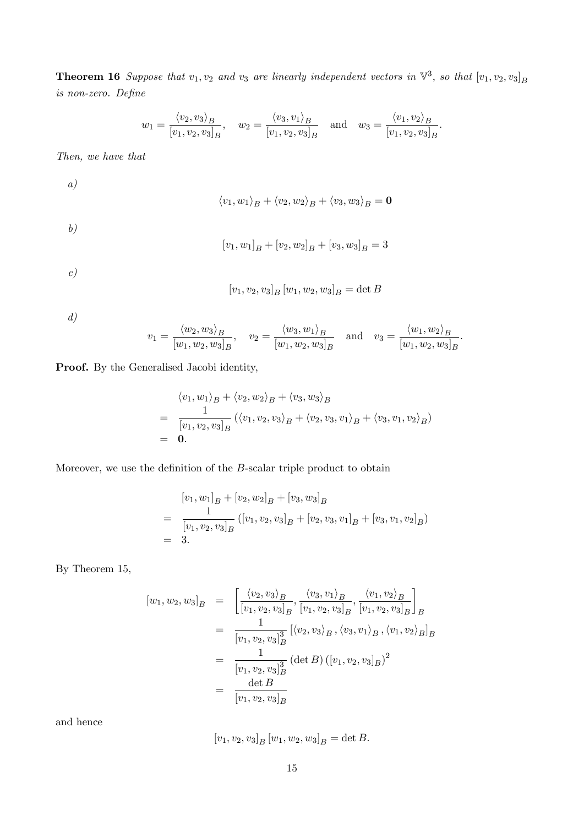**Theorem 16** Suppose that  $v_1, v_2$  and  $v_3$  are linearly independent vectors in  $\mathbb{V}^3$ , so that  $[v_1, v_2, v_3]_B$ is non-zero. Define

$$
w_1 = \frac{\langle v_2, v_3 \rangle_B}{[v_1, v_2, v_3]_B}
$$
,  $w_2 = \frac{\langle v_3, v_1 \rangle_B}{[v_1, v_2, v_3]_B}$  and  $w_3 = \frac{\langle v_1, v_2 \rangle_B}{[v_1, v_2, v_3]_B}$ .

Then, we have that

 $\langle v_1, w_1 \rangle_B + \langle v_2, w_2 \rangle_B + \langle v_3, w_3 \rangle_B = \mathbf{0}$ 

b)

a)

$$
[v_1, w_1]_B + [v_2, w_2]_B + [v_3, w_3]_B = 3
$$

c)

$$
[v_1, v_2, v_3]_B [w_1, w_2, w_3]_B = \det B
$$

d)

$$
v_1 = \frac{\langle w_2, w_3 \rangle_B}{[w_1, w_2, w_3]_B}
$$
,  $v_2 = \frac{\langle w_3, w_1 \rangle_B}{[w_1, w_2, w_3]_B}$  and  $v_3 = \frac{\langle w_1, w_2 \rangle_B}{[w_1, w_2, w_3]_B}$ .

Proof. By the Generalised Jacobi identity,

$$
\langle v_1, w_1 \rangle_B + \langle v_2, w_2 \rangle_B + \langle v_3, w_3 \rangle_B
$$
  
=  $\frac{1}{[v_1, v_2, v_3]_B} (\langle v_1, v_2, v_3 \rangle_B + \langle v_2, v_3, v_1 \rangle_B + \langle v_3, v_1, v_2 \rangle_B)$   
= **0**.

Moreover, we use the definition of the  $B$ -scalar triple product to obtain

$$
[v_1, w_1]_B + [v_2, w_2]_B + [v_3, w_3]_B
$$
  
= 
$$
\frac{1}{[v_1, v_2, v_3]_B} ([v_1, v_2, v_3]_B + [v_2, v_3, v_1]_B + [v_3, v_1, v_2]_B)
$$
  
= 3.

By Theorem 15,

$$
[w_1, w_2, w_3]_B = \left[ \frac{\langle v_2, v_3 \rangle_B}{[v_1, v_2, v_3]_B}, \frac{\langle v_3, v_1 \rangle_B}{[v_1, v_2, v_3]_B}, \frac{\langle v_1, v_2 \rangle_B}{[v_1, v_2, v_3]_B} \right]_B
$$
  

$$
= \frac{1}{[v_1, v_2, v_3]_B^3} \left[ \langle v_2, v_3 \rangle_B, \langle v_3, v_1 \rangle_B, \langle v_1, v_2 \rangle_B \right]_B
$$
  

$$
= \frac{1}{[v_1, v_2, v_3]_B^3} (\det B) ([v_1, v_2, v_3]_B)^2
$$
  

$$
= \frac{\det B}{[v_1, v_2, v_3]_B}
$$

and hence

 $[v_1, v_2, v_3]_B [w_1, w_2, w_3]_B = \det B.$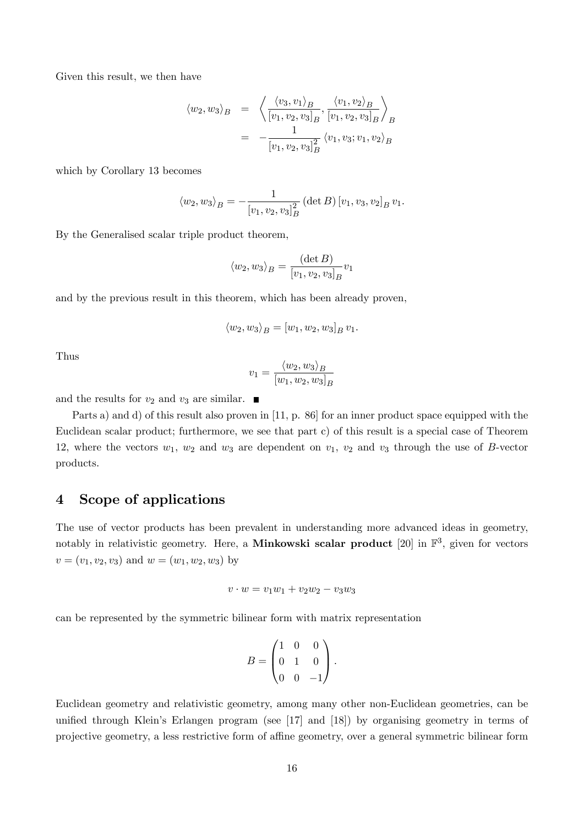Given this result, we then have

$$
\langle w_2, w_3 \rangle_B = \left\langle \frac{\langle v_3, v_1 \rangle_B}{[v_1, v_2, v_3]_B}, \frac{\langle v_1, v_2 \rangle_B}{[v_1, v_2, v_3]_B} \right\rangle_B = -\frac{1}{[v_1, v_2, v_3]_B^2} \langle v_1, v_3; v_1, v_2 \rangle_B
$$

which by Corollary 13 becomes

$$
\langle w_2, w_3 \rangle_B = -\frac{1}{[v_1, v_2, v_3]_B^2} (\det B) [v_1, v_3, v_2]_B v_1.
$$

By the Generalised scalar triple product theorem,

$$
\langle w_2, w_3 \rangle_B = \frac{(\det B)}{[v_1, v_2, v_3]_B} v_1
$$

and by the previous result in this theorem, which has been already proven,

$$
\langle w_2, w_3 \rangle_B = [w_1, w_2, w_3]_B v_1.
$$

Thus

$$
v_1 = \frac{\langle w_2, w_3 \rangle_B}{[w_1, w_2, w_3]_B}
$$

and the results for  $v_2$  and  $v_3$  are similar.

Parts a) and d) of this result also proven in [11, p. 86] for an inner product space equipped with the Euclidean scalar product; furthermore, we see that part c) of this result is a special case of Theorem 12, where the vectors  $w_1, w_2$  and  $w_3$  are dependent on  $v_1, v_2$  and  $v_3$  through the use of B-vector products.

# 4 Scope of applications

The use of vector products has been prevalent in understanding more advanced ideas in geometry, notably in relativistic geometry. Here, a **Minkowski scalar product** [20] in  $\mathbb{F}^3$ , given for vectors  $v = (v_1, v_2, v_3)$  and  $w = (w_1, w_2, w_3)$  by

$$
v \cdot w = v_1 w_1 + v_2 w_2 - v_3 w_3
$$

can be represented by the symmetric bilinear form with matrix representation

$$
B = \begin{pmatrix} 1 & 0 & 0 \\ 0 & 1 & 0 \\ 0 & 0 & -1 \end{pmatrix}.
$$

Euclidean geometry and relativistic geometry, among many other non-Euclidean geometries, can be unified through Klein's Erlangen program (see  $[17]$  and  $[18]$ ) by organising geometry in terms of projective geometry, a less restrictive form of affine geometry, over a general symmetric bilinear form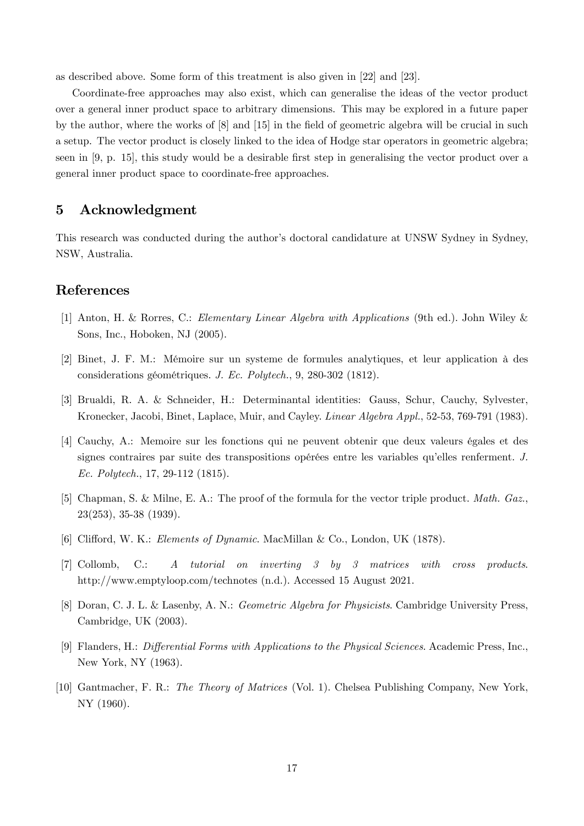as described above. Some form of this treatment is also given in [22] and [23].

Coordinate-free approaches may also exist, which can generalise the ideas of the vector product over a general inner product space to arbitrary dimensions. This may be explored in a future paper by the author, where the works of  $[8]$  and  $[15]$  in the field of geometric algebra will be crucial in such a setup. The vector product is closely linked to the idea of Hodge star operators in geometric algebra; seen in [9, p. 15], this study would be a desirable first step in generalising the vector product over a general inner product space to coordinate-free approaches.

# 5 Acknowledgment

This research was conducted during the author's doctoral candidature at UNSW Sydney in Sydney, NSW, Australia.

### References

- [1] Anton, H. & Rorres, C.: Elementary Linear Algebra with Applications (9th ed.). John Wiley & Sons, Inc., Hoboken, NJ (2005).
- [2] Binet, J. F. M.: MÈmoire sur un systeme de formules analytiques, et leur application ‡ des considerations géométriques. J. Ec. Polytech., 9, 280-302 (1812).
- [3] Brualdi, R. A. & Schneider, H.: Determinantal identities: Gauss, Schur, Cauchy, Sylvester, Kronecker, Jacobi, Binet, Laplace, Muir, and Cayley. Linear Algebra Appl., 52-53, 769-791 (1983).
- [4] Cauchy, A.: Memoire sur les fonctions qui ne peuvent obtenir que deux valeurs Ègales et des signes contraires par suite des transpositions opérées entre les variables qu'elles renferment.  $J$ . Ec. Polytech., 17, 29-112 (1815).
- [5] Chapman, S. & Milne, E. A.: The proof of the formula for the vector triple product. Math. Gaz., 23(253), 35-38 (1939).
- [6] Clifford, W. K.: *Elements of Dynamic*. MacMillan & Co., London, UK (1878).
- [7] Collomb, C.: A tutorial on inverting 3 by 3 matrices with cross products. http://www.emptyloop.com/technotes (n.d.). Accessed 15 August 2021.
- [8] Doran, C. J. L. & Lasenby, A. N.: Geometric Algebra for Physicists. Cambridge University Press, Cambridge, UK (2003).
- [9] Flanders, H.: *Differential Forms with Applications to the Physical Sciences.* Academic Press, Inc., New York, NY (1963).
- [10] Gantmacher, F. R.: The Theory of Matrices (Vol. 1). Chelsea Publishing Company, New York, NY (1960).